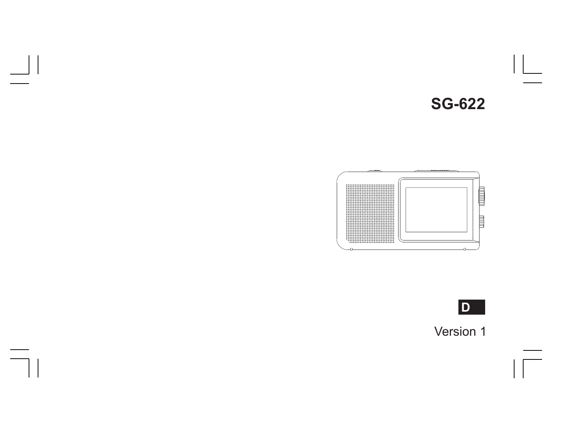



 $\vert \vert$ 

 $\overline{\phantom{a}}$ 



Version 1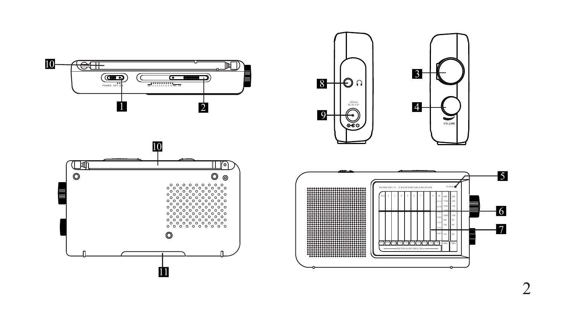







റ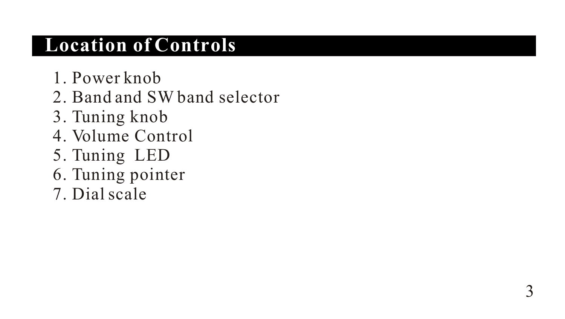## **Location of Controls**

- 1. Power knob
- 2. Band and SW band selector
- 3. Tuning knob
- 4. Volume Control
- 5. Tuning LED
- 6. Tuning pointer
- 7. Dial scale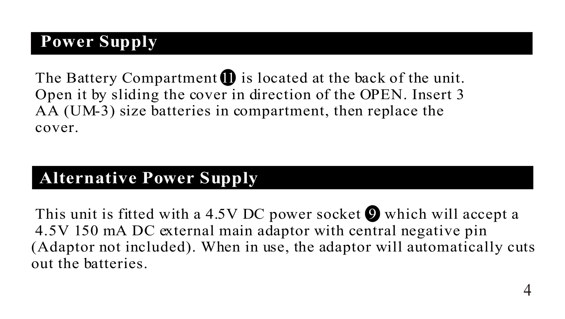### **Power Supply**

I

The Battery Compartment  $\blacksquare$  is located at the back of the unit. Open it by sliding the cover in direction of the OPEN. Insert 3 AA (UM-3) size batteries in compartment, then replace the cover.

### **Alternative Power Supply**

This unit is fitted with a 4.5V DC power socket  $\bullet$  which will accept a 4.5V 150 mA DC external main adaptor with central negative pin (Adaptor not included). When in use, the adaptor will automatically cuts out the batteries.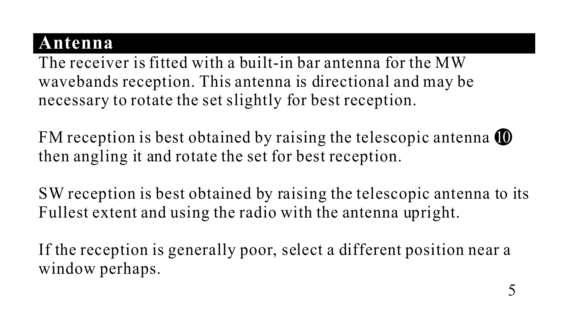### **Antenna**

The receiver is fitted with a built-in bar antenna for the MW wavebands reception. This antenna is directional and may be necessary to rotate the set slightly for best reception.

FM reception is best obtained by raising the telescopic antenna  $\blacksquare$ then angling it and rotate the set for best reception.

SW reception is best obtained by raising the telescopic antenna to its Fullest extent and using the radio with the antenna upright.

If the reception is generally poor, select a different position near a window perhaps.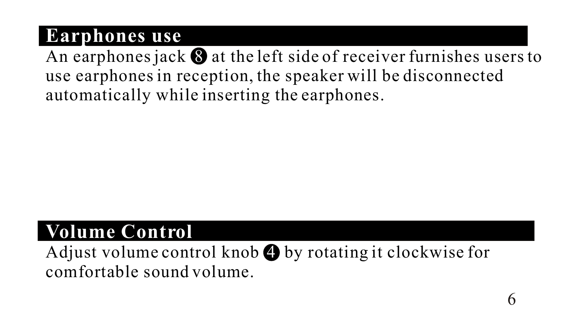## **Earphones use**

An earphones jack  $\bigcirc$  at the left side of receiver furnishes users to use earphones in reception, the speaker will be disconnected automatically while inserting the earphones.

# **Volume Control**

Adjust volume control knob  $\bigoplus$  by rotating it clockwise for comfortable sound volume.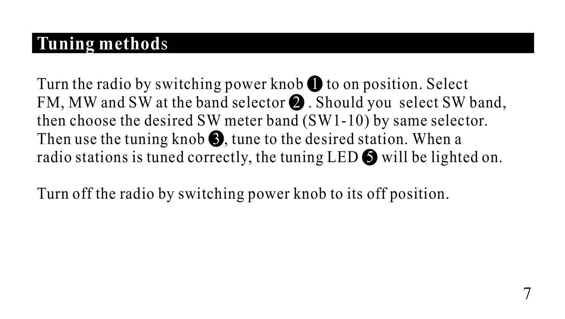## **Tuning method**s

Turn the radio by switching power knob  $\bigoplus$  to on position. Select FM, MW and SW at the band selector  $\bullet$  . Should you select SW band, Then use the tuning knob  $\bigcirc$ , tune to the desired station. When a radio stations is tuned correctly, the tuning LED  $\bigcirc$  will be lighted on. then choose the desired SW meter band (SW1-10) by same selector.

Turn off the radio by switching power knob to its off position.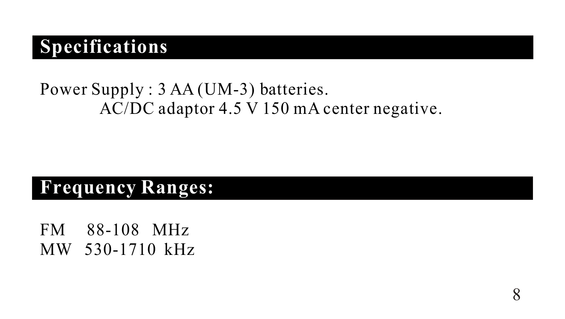# **Specifications**

### Power Supply : 3 AA (UM-3) batteries. AC/DC adaptor 4.5 V 150 mA center negative.

### **Frequency Ranges:**

FM 88-108 MHz MW 530-1710 kHz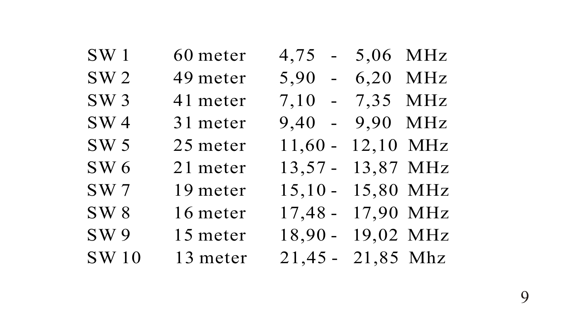| SW1             | 60 meter | $4,75 - 5,06$ MHz   |  |
|-----------------|----------|---------------------|--|
| SW <sub>2</sub> | 49 meter | $5,90 - 6,20$ MHz   |  |
| SW3             | 41 meter | 7,10 - 7,35 MHz     |  |
| SW <sub>4</sub> | 31 meter | 9,40 - 9,90 MHz     |  |
| SW <sub>5</sub> | 25 meter | $11,60 - 12,10$ MHz |  |
| SW 6            | 21 meter | 13,57 - 13,87 MHz   |  |
| SW <sub>7</sub> | 19 meter | 15,10 - 15,80 MHz   |  |
| SW <sub>8</sub> | 16 meter | 17,48 - 17,90 MHz   |  |
| SW 9            | 15 meter | 18,90 - 19,02 MHz   |  |
| <b>SW10</b>     | 13 meter | 21,45 - 21,85 Mhz   |  |